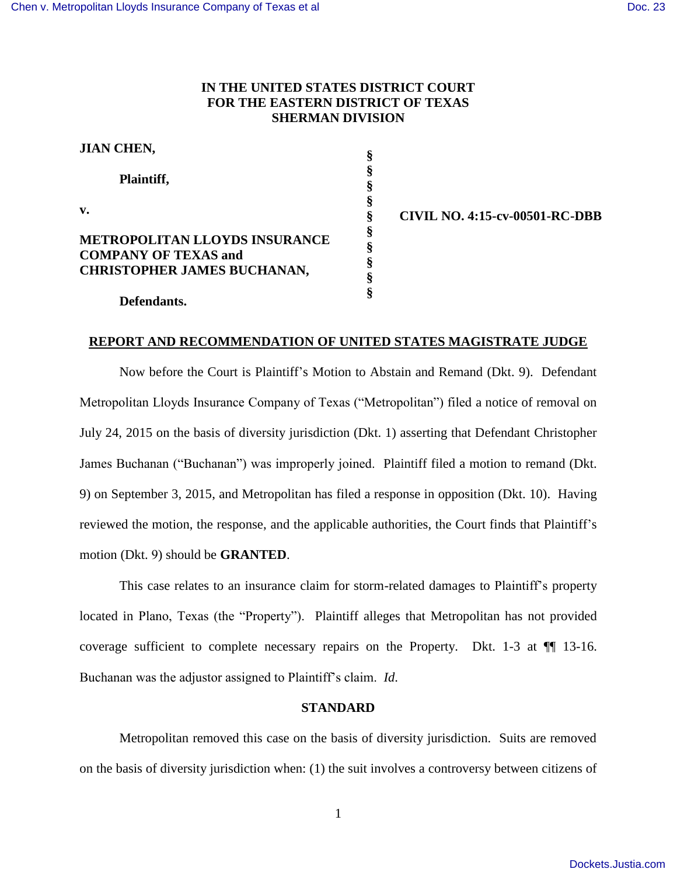# **IN THE UNITED STATES DISTRICT COURT FOR THE EASTERN DISTRICT OF TEXAS SHERMAN DIVISION**

| <b>JIAN CHEN,</b>                                                                                         | §                |
|-----------------------------------------------------------------------------------------------------------|------------------|
| Plaintiff,                                                                                                | §<br>§           |
| $\mathbf{v}$ .                                                                                            | §<br>§           |
| <b>METROPOLITAN LLOYDS INSURANCE</b><br><b>COMPANY OF TEXAS and</b><br><b>CHRISTOPHER JAMES BUCHANAN,</b> | §<br>§<br>ş<br>ş |
| Defendants.                                                                                               | ş                |

**§ CIVIL NO. 4:15-cv-00501-RC-DBB**

### **REPORT AND RECOMMENDATION OF UNITED STATES MAGISTRATE JUDGE**

Now before the Court is Plaintiff"s Motion to Abstain and Remand (Dkt. 9). Defendant Metropolitan Lloyds Insurance Company of Texas ("Metropolitan") filed a notice of removal on July 24, 2015 on the basis of diversity jurisdiction (Dkt. 1) asserting that Defendant Christopher James Buchanan ("Buchanan") was improperly joined. Plaintiff filed a motion to remand (Dkt. 9) on September 3, 2015, and Metropolitan has filed a response in opposition (Dkt. 10). Having reviewed the motion, the response, and the applicable authorities, the Court finds that Plaintiff"s motion (Dkt. 9) should be **GRANTED**.

This case relates to an insurance claim for storm-related damages to Plaintiff"s property located in Plano, Texas (the "Property"). Plaintiff alleges that Metropolitan has not provided coverage sufficient to complete necessary repairs on the Property. Dkt. 1-3 at ¶¶ 13-16. Buchanan was the adjustor assigned to Plaintiff"s claim. *Id*.

### **STANDARD**

Metropolitan removed this case on the basis of diversity jurisdiction. Suits are removed on the basis of diversity jurisdiction when: (1) the suit involves a controversy between citizens of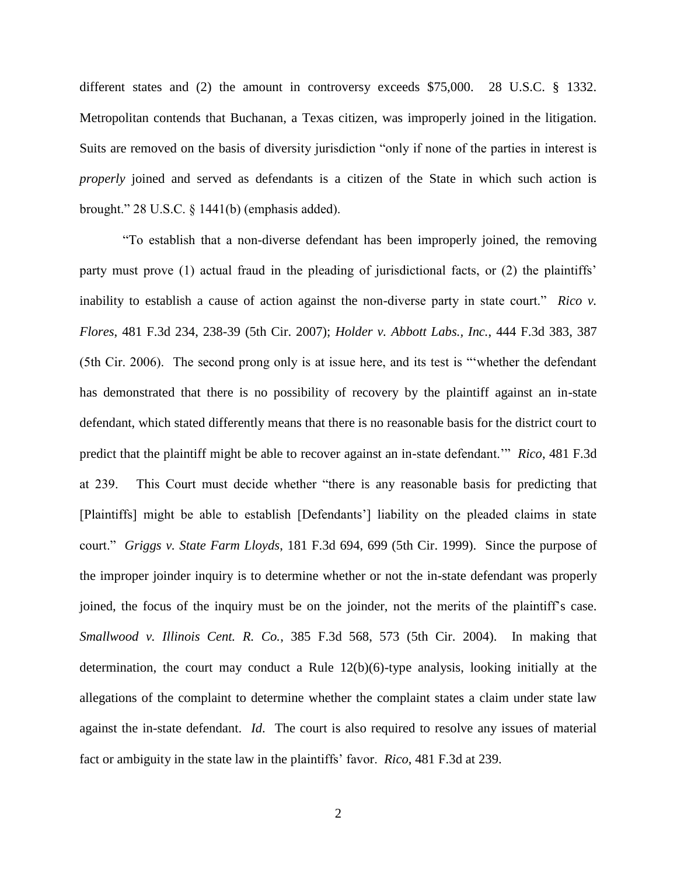different states and (2) the amount in controversy exceeds \$75,000. 28 U.S.C. § 1332. Metropolitan contends that Buchanan, a Texas citizen, was improperly joined in the litigation. Suits are removed on the basis of diversity jurisdiction "only if none of the parties in interest is *properly* joined and served as defendants is a citizen of the State in which such action is brought." 28 U.S.C. § 1441(b) (emphasis added).

"To establish that a non-diverse defendant has been improperly joined, the removing party must prove (1) actual fraud in the pleading of jurisdictional facts, or (2) the plaintiffs' inability to establish a cause of action against the non-diverse party in state court." *Rico v. Flores*, 481 F.3d 234, 238-39 (5th Cir. 2007); *Holder v. Abbott Labs., Inc.*, 444 F.3d 383, 387 (5th Cir. 2006). The second prong only is at issue here, and its test is ""whether the defendant has demonstrated that there is no possibility of recovery by the plaintiff against an in-state defendant, which stated differently means that there is no reasonable basis for the district court to predict that the plaintiff might be able to recover against an in-state defendant."" *Rico*, 481 F.3d at 239. This Court must decide whether "there is any reasonable basis for predicting that [Plaintiffs] might be able to establish [Defendants"] liability on the pleaded claims in state court." *Griggs v. State Farm Lloyds*, 181 F.3d 694, 699 (5th Cir. 1999). Since the purpose of the improper joinder inquiry is to determine whether or not the in-state defendant was properly joined, the focus of the inquiry must be on the joinder, not the merits of the plaintiff"s case. *Smallwood v. Illinois Cent. R. Co.*, 385 F.3d 568, 573 (5th Cir. 2004). In making that determination, the court may conduct a Rule 12(b)(6)-type analysis, looking initially at the allegations of the complaint to determine whether the complaint states a claim under state law against the in-state defendant. *Id*. The court is also required to resolve any issues of material fact or ambiguity in the state law in the plaintiffs" favor. *Rico*, 481 F.3d at 239.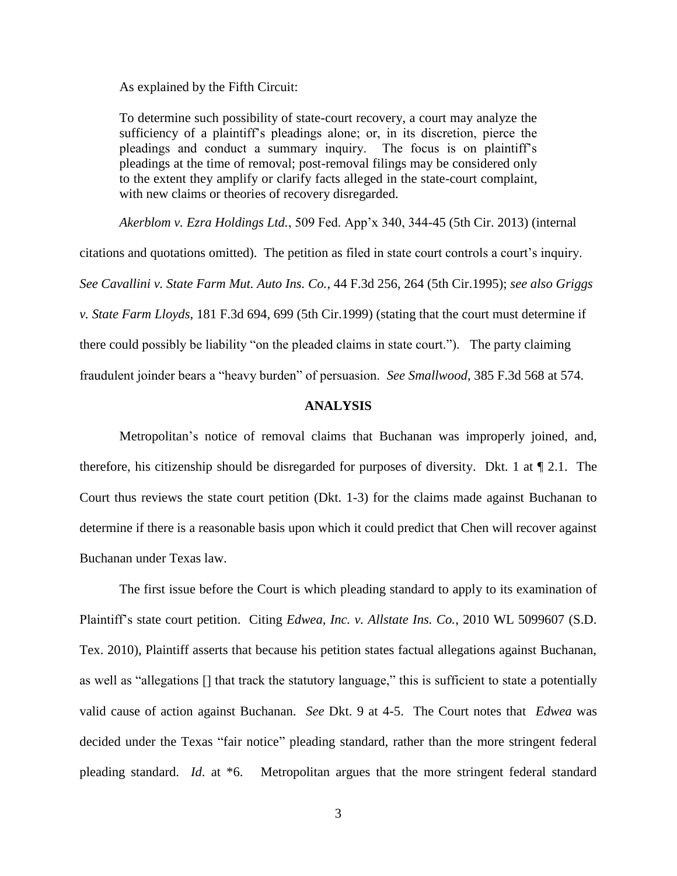As explained by the Fifth Circuit:

To determine such possibility of state-court recovery, a court may analyze the sufficiency of a plaintiff"s pleadings alone; or, in its discretion, pierce the pleadings and conduct a summary inquiry. The focus is on plaintiff"s pleadings at the time of removal; post-removal filings may be considered only to the extent they amplify or clarify facts alleged in the state-court complaint, with new claims or theories of recovery disregarded.

*Akerblom v. Ezra Holdings Ltd.*, 509 Fed. App"x 340, 344-45 (5th Cir. 2013) (internal citations and quotations omitted). The petition as filed in state court controls a court's inquiry. *See Cavallini v. State Farm Mut. Auto Ins. Co.*, 44 F.3d 256, 264 (5th Cir.1995); *see also Griggs v. State Farm Lloyds*, 181 F.3d 694, 699 (5th Cir.1999) (stating that the court must determine if there could possibly be liability "on the pleaded claims in state court."). The party claiming fraudulent joinder bears a "heavy burden" of persuasion. *See Smallwood*, 385 F.3d 568 at 574.

#### **ANALYSIS**

Metropolitan"s notice of removal claims that Buchanan was improperly joined, and, therefore, his citizenship should be disregarded for purposes of diversity. Dkt. 1 at ¶ 2.1. The Court thus reviews the state court petition (Dkt. 1-3) for the claims made against Buchanan to determine if there is a reasonable basis upon which it could predict that Chen will recover against Buchanan under Texas law.

The first issue before the Court is which pleading standard to apply to its examination of Plaintiff"s state court petition. Citing *Edwea, Inc. v. Allstate Ins. Co.*, 2010 WL 5099607 (S.D. Tex. 2010), Plaintiff asserts that because his petition states factual allegations against Buchanan, as well as "allegations [] that track the statutory language," this is sufficient to state a potentially valid cause of action against Buchanan. *See* Dkt. 9 at 4-5. The Court notes that *Edwea* was decided under the Texas "fair notice" pleading standard, rather than the more stringent federal pleading standard. *Id*. at \*6. Metropolitan argues that the more stringent federal standard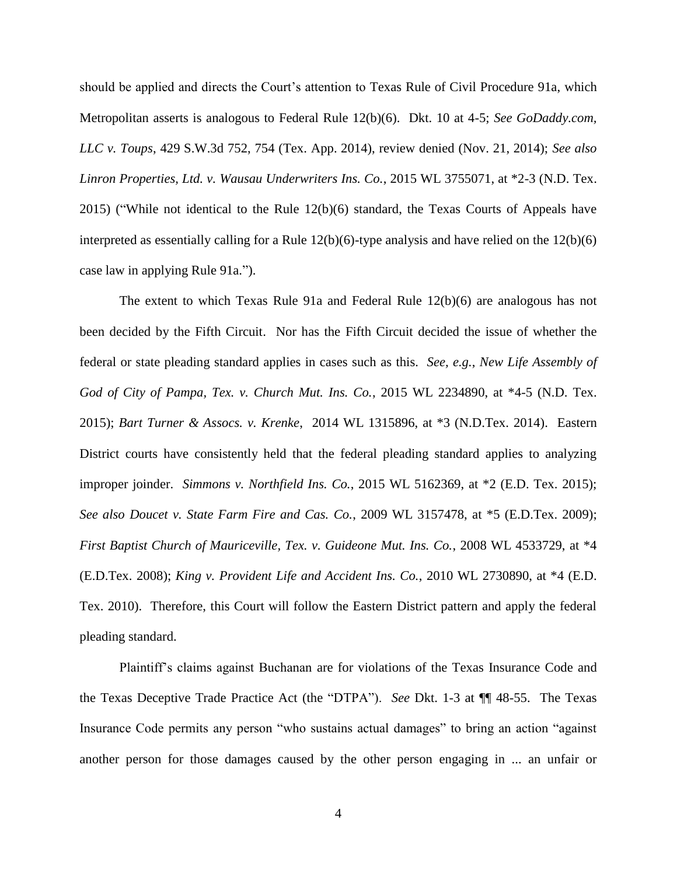should be applied and directs the Court's attention to Texas Rule of Civil Procedure 91a, which Metropolitan asserts is analogous to Federal Rule 12(b)(6). Dkt. 10 at 4-5; *See GoDaddy.com, LLC v. Toups*, 429 S.W.3d 752, 754 (Tex. App. 2014), review denied (Nov. 21, 2014); *See also Linron Properties, Ltd. v. Wausau Underwriters Ins. Co.*, 2015 WL 3755071, at \*2-3 (N.D. Tex. 2015) ("While not identical to the Rule 12(b)(6) standard, the Texas Courts of Appeals have interpreted as essentially calling for a Rule 12(b)(6)-type analysis and have relied on the 12(b)(6) case law in applying Rule 91a.").

The extent to which Texas Rule 91a and Federal Rule 12(b)(6) are analogous has not been decided by the Fifth Circuit. Nor has the Fifth Circuit decided the issue of whether the federal or state pleading standard applies in cases such as this. *See, e.g.*, *New Life Assembly of God of City of Pampa, Tex. v. Church Mut. Ins. Co.*, 2015 WL 2234890, at \*4-5 (N.D. Tex. 2015); *Bart Turner & Assocs. v. Krenke*, 2014 WL 1315896, at \*3 (N.D.Tex. 2014). Eastern District courts have consistently held that the federal pleading standard applies to analyzing improper joinder. *Simmons v. Northfield Ins. Co.*, 2015 WL 5162369, at \*2 (E.D. Tex. 2015); *See also Doucet v. State Farm Fire and Cas. Co.*, 2009 WL 3157478, at \*5 (E.D.Tex. 2009); *First Baptist Church of Mauriceville, Tex. v. Guideone Mut. Ins. Co.*, 2008 WL 4533729, at \*4 (E.D.Tex. 2008); *King v. Provident Life and Accident Ins. Co.*, 2010 WL 2730890, at \*4 (E.D. Tex. 2010). Therefore, this Court will follow the Eastern District pattern and apply the federal pleading standard.

Plaintiff"s claims against Buchanan are for violations of the Texas Insurance Code and the Texas Deceptive Trade Practice Act (the "DTPA"). *See* Dkt. 1-3 at ¶¶ 48-55. The Texas Insurance Code permits any person "who sustains actual damages" to bring an action "against another person for those damages caused by the other person engaging in ... an unfair or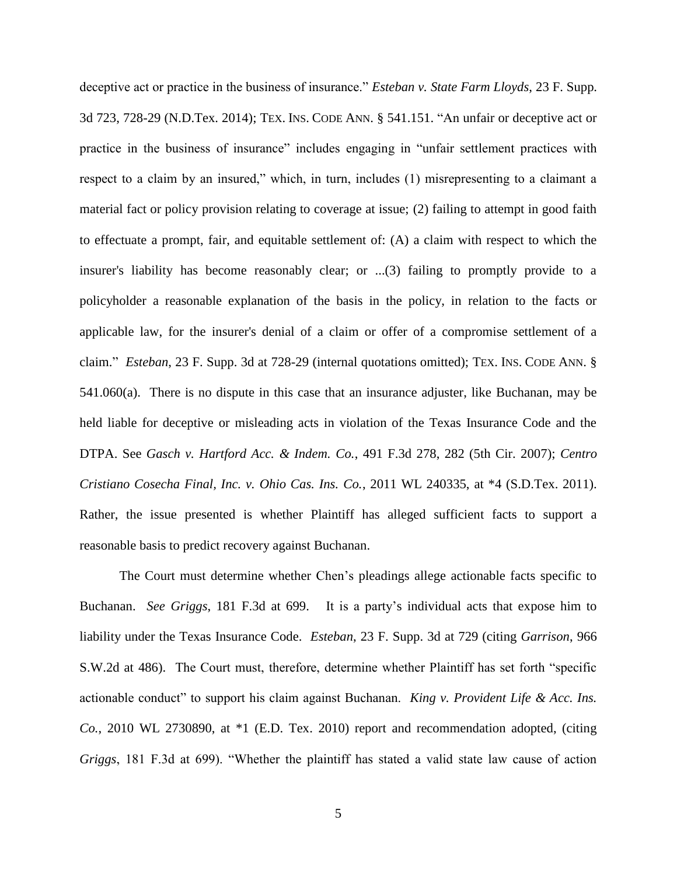deceptive act or practice in the business of insurance." *Esteban v. State Farm Lloyds*, 23 F. Supp. 3d 723, 728-29 (N.D.Tex. 2014); TEX. INS. CODE ANN. § 541.151. "An unfair or deceptive act or practice in the business of insurance" includes engaging in "unfair settlement practices with respect to a claim by an insured," which, in turn, includes (1) misrepresenting to a claimant a material fact or policy provision relating to coverage at issue; (2) failing to attempt in good faith to effectuate a prompt, fair, and equitable settlement of: (A) a claim with respect to which the insurer's liability has become reasonably clear; or ...(3) failing to promptly provide to a policyholder a reasonable explanation of the basis in the policy, in relation to the facts or applicable law, for the insurer's denial of a claim or offer of a compromise settlement of a claim." *Esteban*, 23 F. Supp. 3d at 728-29 (internal quotations omitted); TEX. INS. CODE ANN. § 541.060(a). There is no dispute in this case that an insurance adjuster, like Buchanan, may be held liable for deceptive or misleading acts in violation of the Texas Insurance Code and the DTPA. See *Gasch v. Hartford Acc. & Indem. Co.*, 491 F.3d 278, 282 (5th Cir. 2007); *Centro Cristiano Cosecha Final, Inc. v. Ohio Cas. Ins. Co.*, 2011 WL 240335, at \*4 (S.D.Tex. 2011). Rather, the issue presented is whether Plaintiff has alleged sufficient facts to support a reasonable basis to predict recovery against Buchanan.

The Court must determine whether Chen"s pleadings allege actionable facts specific to Buchanan. *See Griggs*, 181 F.3d at 699. It is a party"s individual acts that expose him to liability under the Texas Insurance Code. *Esteban*, 23 F. Supp. 3d at 729 (citing *Garrison*, 966 S.W.2d at 486). The Court must, therefore, determine whether Plaintiff has set forth "specific actionable conduct" to support his claim against Buchanan. *King v. Provident Life & Acc. Ins. Co.*, 2010 WL 2730890, at \*1 (E.D. Tex. 2010) report and recommendation adopted, (citing *Griggs*, 181 F.3d at 699). "Whether the plaintiff has stated a valid state law cause of action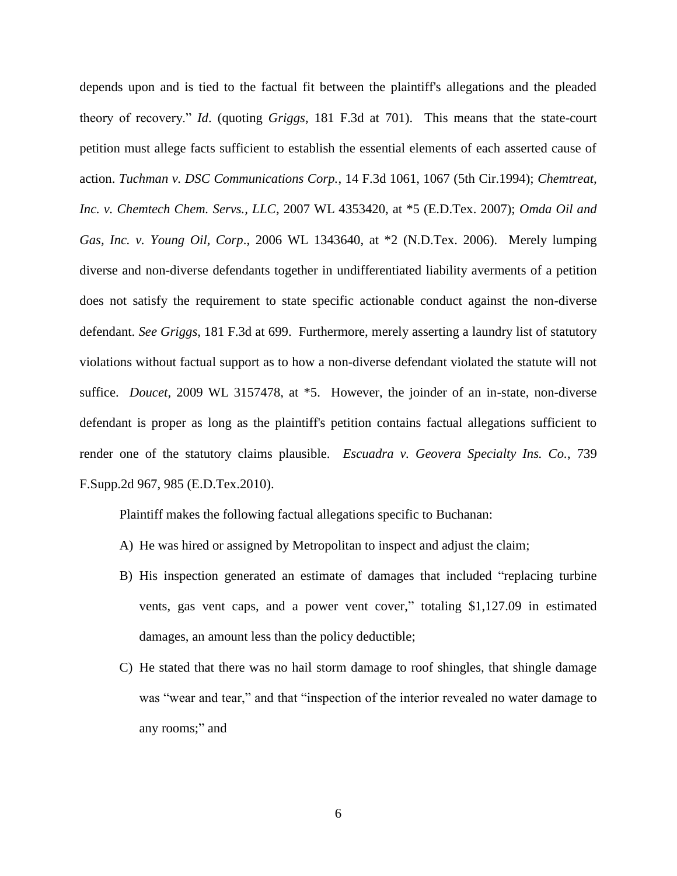depends upon and is tied to the factual fit between the plaintiff's allegations and the pleaded theory of recovery." *Id*. (quoting *Griggs*, 181 F.3d at 701). This means that the state-court petition must allege facts sufficient to establish the essential elements of each asserted cause of action. *Tuchman v. DSC Communications Corp.*, 14 F.3d 1061, 1067 (5th Cir.1994); *Chemtreat, Inc. v. Chemtech Chem. Servs., LLC*, 2007 WL 4353420, at \*5 (E.D.Tex. 2007); *Omda Oil and Gas, Inc. v. Young Oil, Corp*., 2006 WL 1343640, at \*2 (N.D.Tex. 2006). Merely lumping diverse and non-diverse defendants together in undifferentiated liability averments of a petition does not satisfy the requirement to state specific actionable conduct against the non-diverse defendant. *See Griggs*, 181 F.3d at 699. Furthermore, merely asserting a laundry list of statutory violations without factual support as to how a non-diverse defendant violated the statute will not suffice. *Doucet*, 2009 WL 3157478, at \*5. However, the joinder of an in-state, non-diverse defendant is proper as long as the plaintiff's petition contains factual allegations sufficient to render one of the statutory claims plausible. *Escuadra v. Geovera Specialty Ins. Co.*, 739 F.Supp.2d 967, 985 (E.D.Tex.2010).

Plaintiff makes the following factual allegations specific to Buchanan:

- A) He was hired or assigned by Metropolitan to inspect and adjust the claim;
- B) His inspection generated an estimate of damages that included "replacing turbine vents, gas vent caps, and a power vent cover," totaling \$1,127.09 in estimated damages, an amount less than the policy deductible;
- C) He stated that there was no hail storm damage to roof shingles, that shingle damage was "wear and tear," and that "inspection of the interior revealed no water damage to any rooms;" and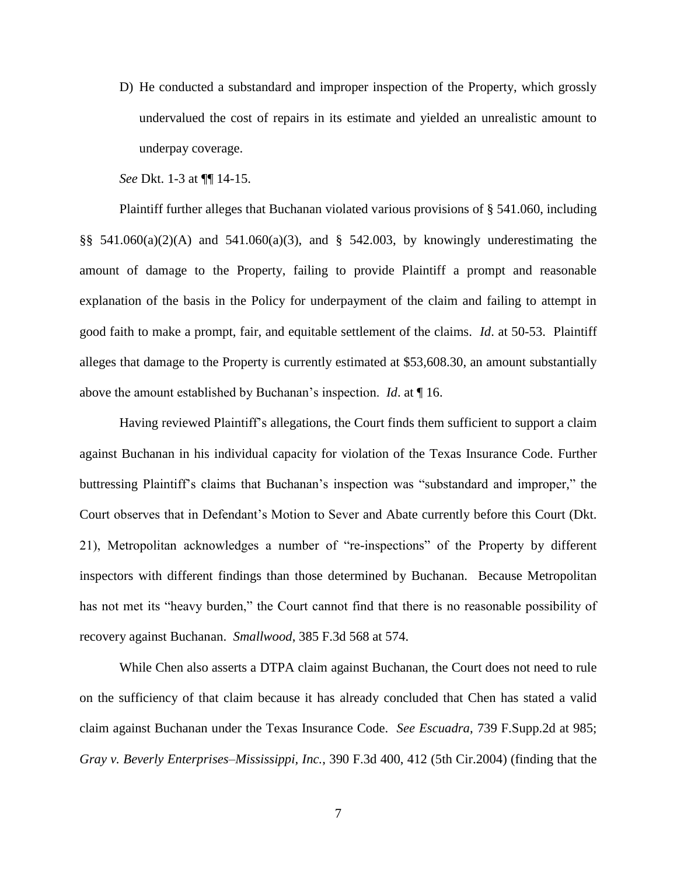D) He conducted a substandard and improper inspection of the Property, which grossly undervalued the cost of repairs in its estimate and yielded an unrealistic amount to underpay coverage.

*See* Dkt. 1-3 at ¶¶ 14-15.

Plaintiff further alleges that Buchanan violated various provisions of § 541.060, including §§  $541.060(a)(2)(A)$  and  $541.060(a)(3)$ , and §  $542.003$ , by knowingly underestimating the amount of damage to the Property, failing to provide Plaintiff a prompt and reasonable explanation of the basis in the Policy for underpayment of the claim and failing to attempt in good faith to make a prompt, fair, and equitable settlement of the claims. *Id*. at 50-53. Plaintiff alleges that damage to the Property is currently estimated at \$53,608.30, an amount substantially above the amount established by Buchanan"s inspection. *Id*. at ¶ 16.

Having reviewed Plaintiff"s allegations, the Court finds them sufficient to support a claim against Buchanan in his individual capacity for violation of the Texas Insurance Code. Further buttressing Plaintiff"s claims that Buchanan"s inspection was "substandard and improper," the Court observes that in Defendant"s Motion to Sever and Abate currently before this Court (Dkt. 21), Metropolitan acknowledges a number of "re-inspections" of the Property by different inspectors with different findings than those determined by Buchanan. Because Metropolitan has not met its "heavy burden," the Court cannot find that there is no reasonable possibility of recovery against Buchanan. *Smallwood*, 385 F.3d 568 at 574.

While Chen also asserts a DTPA claim against Buchanan, the Court does not need to rule on the sufficiency of that claim because it has already concluded that Chen has stated a valid claim against Buchanan under the Texas Insurance Code. *See Escuadra*, 739 F.Supp.2d at 985; *Gray v. Beverly Enterprises–Mississippi, Inc.*, 390 F.3d 400, 412 (5th Cir.2004) (finding that the